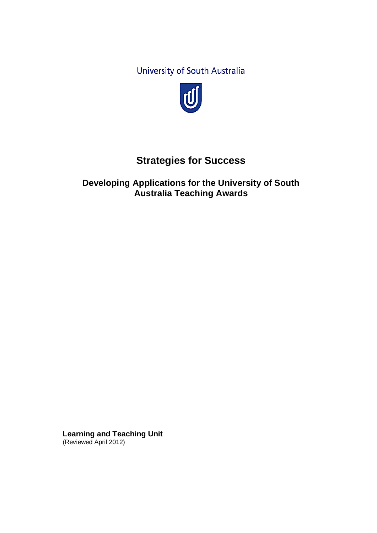University of South Australia



# **Strategies for Success**

**Developing Applications for the University of South Australia Teaching Awards** 

**Learning and Teaching Unit** (Reviewed April 2012)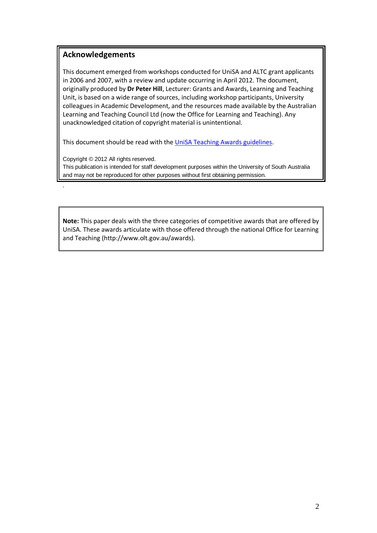## **Acknowledgements**

This document emerged from workshops conducted for UniSA and ALTC grant applicants in 2006 and 2007, with a review and update occurring in April 2012. The document, originally produced by **Dr Peter Hill**, Lecturer: Grants and Awards, Learning and Teaching Unit, is based on a wide range of sources, including workshop participants, University colleagues in Academic Development, and the resources made available by the Australian Learning and Teaching Council Ltd (now the Office for Learning and Teaching). Any unacknowledged citation of copyright material is unintentional.

This document should be read with the [UniSA Teaching Awards](http://www.unisa.edu.au/teachinglearning/goodteaching/grants/unisa/default.asp) guidelines.

Copyright © 2012 All rights reserved.

.

This publication is intended for staff development purposes within the University of South Australia and may not be reproduced for other purposes without first obtaining permission.

**Note:** This paper deals with the three categories of competitive awards that are offered by UniSA. These awards articulate with those offered through the national Office for Learning and Teaching (http://www.olt.gov.au/awards).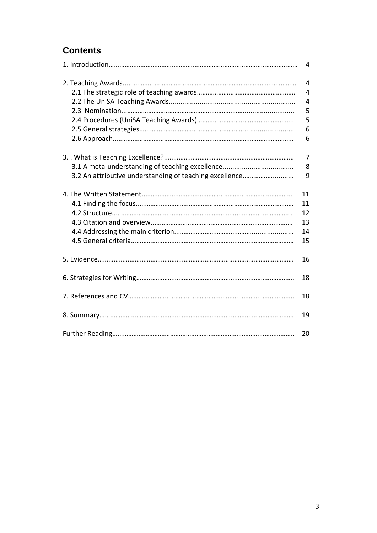## **Contents**

|                                                         | 4              |
|---------------------------------------------------------|----------------|
|                                                         | $\overline{4}$ |
|                                                         | 4              |
|                                                         | $\overline{4}$ |
|                                                         | 5              |
|                                                         | 5              |
|                                                         | 6              |
|                                                         | 6              |
|                                                         | $\overline{7}$ |
|                                                         | 8              |
| 3.2 An attributive understanding of teaching excellence | 9              |
|                                                         | 11             |
|                                                         | 11             |
|                                                         | 12             |
|                                                         | 13             |
|                                                         | 14             |
|                                                         | 15             |
|                                                         | 16             |
|                                                         | 18             |
|                                                         | 18             |
|                                                         | 19             |
|                                                         | 20             |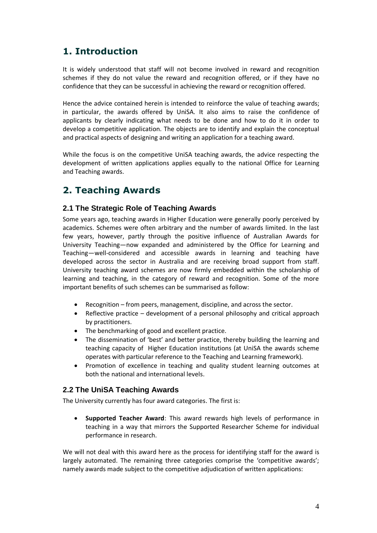## **1. Introduction**

It is widely understood that staff will not become involved in reward and recognition schemes if they do not value the reward and recognition offered, or if they have no confidence that they can be successful in achieving the reward or recognition offered.

Hence the advice contained herein is intended to reinforce the value of teaching awards; in particular, the awards offered by UniSA. It also aims to raise the confidence of applicants by clearly indicating what needs to be done and how to do it in order to develop a competitive application. The objects are to identify and explain the conceptual and practical aspects of designing and writing an application for a teaching award.

While the focus is on the competitive UniSA teaching awards, the advice respecting the development of written applications applies equally to the national Office for Learning and Teaching awards.

## **2. Teaching Awards**

### **2.1 The Strategic Role of Teaching Awards**

Some years ago, teaching awards in Higher Education were generally poorly perceived by academics. Schemes were often arbitrary and the number of awards limited. In the last few years, however, partly through the positive influence of Australian Awards for University Teaching—now expanded and administered by the Office for Learning and Teaching—well-considered and accessible awards in learning and teaching have developed across the sector in Australia and are receiving broad support from staff. University teaching award schemes are now firmly embedded within the scholarship of learning and teaching, in the category of reward and recognition. Some of the more important benefits of such schemes can be summarised as follow:

- Recognition from peers, management, discipline, and across the sector.
- Reflective practice development of a personal philosophy and critical approach by practitioners.
- The benchmarking of good and excellent practice.
- The dissemination of 'best' and better practice, thereby building the learning and teaching capacity of Higher Education institutions (at UniSA the awards scheme operates with particular reference to the Teaching and Learning framework).
- Promotion of excellence in teaching and quality student learning outcomes at both the national and international levels.

## **2.2 The UniSA Teaching Awards**

The University currently has four award categories. The first is:

 **Supported Teacher Award**: This award rewards high levels of performance in teaching in a way that mirrors the Supported Researcher Scheme for individual performance in research.

We will not deal with this award here as the process for identifying staff for the award is largely automated. The remaining three categories comprise the 'competitive awards'; namely awards made subject to the competitive adjudication of written applications: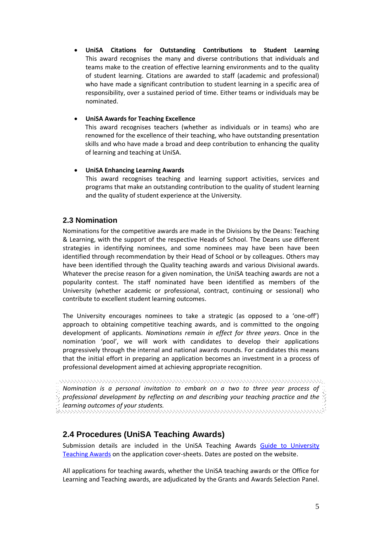**UniSA Citations for Outstanding Contributions to Student Learning** This award recognises the many and diverse contributions that individuals and teams make to the creation of effective learning environments and to the quality of student learning. Citations are awarded to staff (academic and professional) who have made a significant contribution to student learning in a specific area of responsibility, over a sustained period of time. Either teams or individuals may be nominated.

#### **UniSA Awards for Teaching Excellence**

This award recognises teachers (whether as individuals or in teams) who are renowned for the excellence of their teaching, who have outstanding presentation skills and who have made a broad and deep contribution to enhancing the quality of learning and teaching at UniSA.

#### **UniSA Enhancing Learning Awards**

This award recognises teaching and learning support activities, services and programs that make an outstanding contribution to the quality of student learning and the quality of student experience at the University.

### **2.3 Nomination**

Nominations for the competitive awards are made in the Divisions by the Deans: Teaching & Learning, with the support of the respective Heads of School. The Deans use different strategies in identifying nominees, and some nominees may have been have been identified through recommendation by their Head of School or by colleagues. Others may have been identified through the Quality teaching awards and various Divisional awards. Whatever the precise reason for a given nomination, the UniSA teaching awards are not a popularity contest. The staff nominated have been identified as members of the University (whether academic or professional, contract, continuing or sessional) who contribute to excellent student learning outcomes.

The University encourages nominees to take a strategic (as opposed to a 'one-off') approach to obtaining competitive teaching awards, and is committed to the ongoing development of applicants. *Nominations remain in effect for three years*. Once in the nomination 'pool', we will work with candidates to develop their applications progressively through the internal and national awards rounds. For candidates this means that the initial effort in preparing an application becomes an investment in a process of professional development aimed at achieving appropriate recognition.

.<br>Die eren en einen eine eine einen einen einen einen einen einen einen einen einen einen einen einen einen ein *Nomination is a personal invitation to embark on a two to three year process of*   $\hat{\S}$  professional development by reflecting on and describing your teaching practice and the  $\hat{\S}$ *learning outcomes of your students.*

## **2.4 Procedures (UniSA Teaching Awards)**

Submission details are included in the UniSA Teaching Awards [Guide to University](http://www.unisa.edu.au/teachinglearning/goodteaching/awards/guide.pdf)  [Teaching Awards](http://www.unisa.edu.au/teachinglearning/goodteaching/awards/guide.pdf) on the application cover-sheets. Dates are posted on the website.

All applications for teaching awards, whether the UniSA teaching awards or the Office for Learning and Teaching awards, are adjudicated by the Grants and Awards Selection Panel.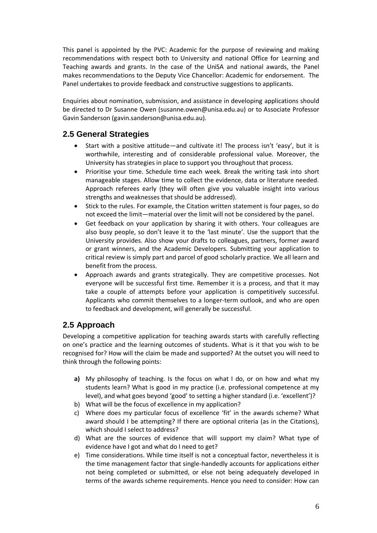This panel is appointed by the PVC: Academic for the purpose of reviewing and making recommendations with respect both to University and national Office for Learning and Teaching awards and grants. In the case of the UniSA and national awards, the Panel makes recommendations to the Deputy Vice Chancellor: Academic for endorsement. The Panel undertakes to provide feedback and constructive suggestions to applicants.

Enquiries about nomination, submission, and assistance in developing applications should be directed to Dr Susanne Owen (susanne.owen@unisa.edu.au) or to Associate Professor Gavin Sanderson (gavin.sanderson@unisa.edu.au).

## **2.5 General Strategies**

- Start with a positive attitude—and cultivate it! The process isn't 'easy', but it is worthwhile, interesting and of considerable professional value. Moreover, the University has strategies in place to support you throughout that process.
- Prioritise your time. Schedule time each week. Break the writing task into short manageable stages. Allow time to collect the evidence, data or literature needed. Approach referees early (they will often give you valuable insight into various strengths and weaknesses that should be addressed).
- Stick to the rules. For example, the Citation written statement is four pages, so do not exceed the limit—material over the limit will not be considered by the panel.
- Get feedback on your application by sharing it with others. Your colleagues are also busy people, so don't leave it to the 'last minute'. Use the support that the University provides. Also show your drafts to colleagues, partners, former award or grant winners, and the Academic Developers. Submitting your application to critical review is simply part and parcel of good scholarly practice. We all learn and benefit from the process.
- Approach awards and grants strategically. They are competitive processes. Not everyone will be successful first time. Remember it is a process, and that it may take a couple of attempts before your application is competitively successful. Applicants who commit themselves to a longer-term outlook, and who are open to feedback and development, will generally be successful.

## **2.5 Approach**

Developing a competitive application for teaching awards starts with carefully reflecting on one's practice and the learning outcomes of students. What is it that you wish to be recognised for? How will the claim be made and supported? At the outset you will need to think through the following points:

- **a)** My philosophy of teaching. Is the focus on what I do, or on how and what my students learn? What is good in my practice (i.e. professional competence at my level), and what goes beyond 'good' to setting a higher standard (i.e. 'excellent')?
- b) What will be the focus of excellence in my application?
- c) Where does my particular focus of excellence 'fit' in the awards scheme? What award should I be attempting? If there are optional criteria (as in the Citations), which should I select to address?
- d) What are the sources of evidence that will support my claim? What type of evidence have I got and what do I need to get?
- e) Time considerations. While time itself is not a conceptual factor, nevertheless it is the time management factor that single-handedly accounts for applications either not being completed or submitted, or else not being adequately developed in terms of the awards scheme requirements. Hence you need to consider: How can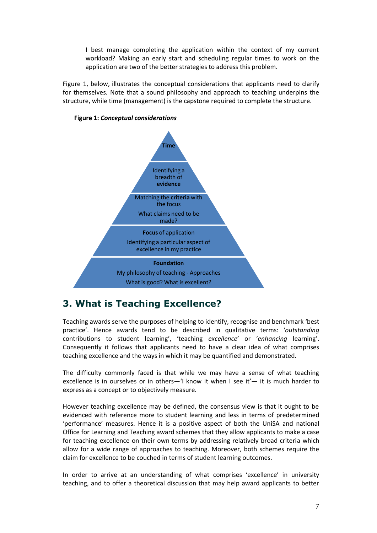I best manage completing the application within the context of my current workload? Making an early start and scheduling regular times to work on the application are two of the better strategies to address this problem.

Figure 1, below, illustrates the conceptual considerations that applicants need to clarify for themselves. Note that a sound philosophy and approach to teaching underpins the structure, while time (management) is the capstone required to complete the structure.





## **3. What is Teaching Excellence?**

Teaching awards serve the purposes of helping to identify, recognise and benchmark 'best practice'. Hence awards tend to be described in qualitative terms: '*outstanding* contributions to student learning', 'teaching *excellence*' or '*enhancing* learning'. Consequently it follows that applicants need to have a clear idea of what comprises teaching excellence and the ways in which it may be quantified and demonstrated.

The difficulty commonly faced is that while we may have a sense of what teaching excellence is in ourselves or in others—'I know it when I see it'— it is much harder to express as a concept or to objectively measure.

However teaching excellence may be defined, the consensus view is that it ought to be evidenced with reference more to student learning and less in terms of predetermined 'performance' measures. Hence it is a positive aspect of both the UniSA and national Office for Learning and Teaching award schemes that they allow applicants to make a case for teaching excellence on their own terms by addressing relatively broad criteria which allow for a wide range of approaches to teaching. Moreover, both schemes require the claim for excellence to be couched in terms of student learning outcomes.

In order to arrive at an understanding of what comprises 'excellence' in university teaching, and to offer a theoretical discussion that may help award applicants to better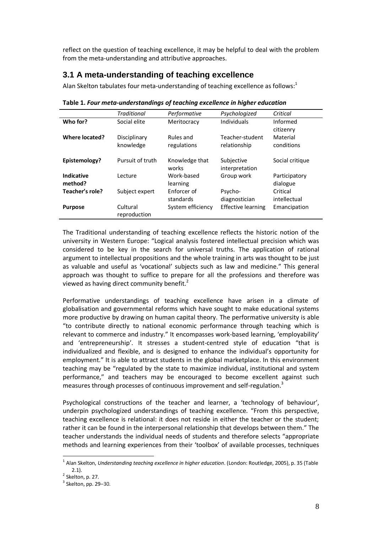reflect on the question of teaching excellence, it may be helpful to deal with the problem from the meta-understanding and attributive approaches.

## **3.1 A meta-understanding of teaching excellence**

Alan Skelton tabulates four meta-understanding of teaching excellence as follows: $<sup>1</sup>$ </sup>

|                              | <b>Traditional</b>       | Performative             | Psychologized                | Critical                  |
|------------------------------|--------------------------|--------------------------|------------------------------|---------------------------|
| Who for?                     | Social elite             | Meritocracy              | <b>Individuals</b>           | Informed                  |
|                              |                          |                          |                              | citizenry                 |
| Where located?               | Disciplinary             | Rules and                | Teacher-student              | Material                  |
|                              | knowledge                | regulations              | relationship                 | conditions                |
| Epistemology?                | Pursuit of truth         | Knowledge that<br>works  | Subjective<br>interpretation | Social critique           |
| <b>Indicative</b><br>method? | Lecture                  | Work-based<br>learning   | Group work                   | Participatory<br>dialogue |
| Teacher's role?              | Subject expert           | Enforcer of<br>standards | Psycho-<br>diagnostician     | Critical<br>intellectual  |
| <b>Purpose</b>               | Cultural<br>reproduction | System efficiency        | <b>Effective learning</b>    | Emancipation              |

**Table 1.** *Four meta-understandings of teaching excellence in higher education*

The Traditional understanding of teaching excellence reflects the historic notion of the university in Western Europe: "Logical analysis fostered intellectual precision which was considered to be key in the search for universal truths. The application of rational argument to intellectual propositions and the whole training in arts was thought to be just as valuable and useful as 'vocational' subjects such as law and medicine." This general approach was thought to suffice to prepare for all the professions and therefore was viewed as having direct community benefit.<sup>2</sup>

Performative understandings of teaching excellence have arisen in a climate of globalisation and governmental reforms which have sought to make educational systems more productive by drawing on human capital theory. The performative university is able "to contribute directly to national economic performance through teaching which is relevant to commerce and industry." It encompasses work-based learning, 'employability' and 'entrepreneurship'. It stresses a student-centred style of education "that is individualized and flexible, and is designed to enhance the individual's opportunity for employment." It is able to attract students in the global marketplace. In this environment teaching may be "regulated by the state to maximize individual, institutional and system performance," and teachers may be encouraged to become excellent against such measures through processes of continuous improvement and self-regulation.<sup>3</sup>

Psychological constructions of the teacher and learner, a 'technology of behaviour', underpin psychologized understandings of teaching excellence. "From this perspective, teaching excellence is relational: it does not reside in either the teacher or the student; rather it can be found in the interpersonal relationship that develops between them." The teacher understands the individual needs of students and therefore selects "appropriate methods and learning experiences from their 'toolbox' of available processes, techniques

 $\overline{a}$ 

<sup>1</sup> Alan Skelton, *Understanding teaching excellence in higher education*. (London: Routledge, 2005), p. 35 (Table 2.1).

 $2$  Skelton, p. 27.

 $3$  Skelton, pp. 29–30.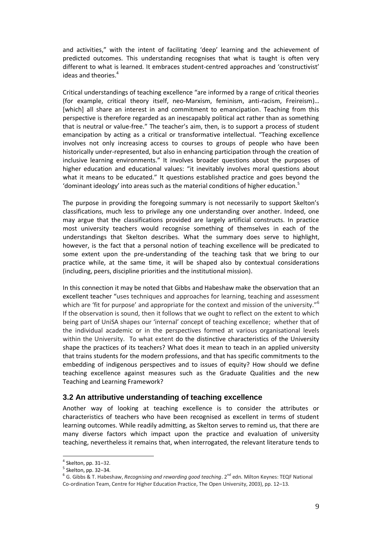and activities," with the intent of facilitating 'deep' learning and the achievement of predicted outcomes. This understanding recognises that what is taught is often very different to what is learned. It embraces student-centred approaches and 'constructivist' ideas and theories.<sup>4</sup>

Critical understandings of teaching excellence "are informed by a range of critical theories (for example, critical theory itself, neo-Marxism, feminism, anti-racism, Freireism)… [which] all share an interest in and commitment to emancipation. Teaching from this perspective is therefore regarded as an inescapably political act rather than as something that is neutral or value-free." The teacher's aim, then, is to support a process of student emancipation by acting as a critical or transformative intellectual. "Teaching excellence involves not only increasing access to courses to groups of people who have been historically under-represented, but also in enhancing participation through the creation of inclusive learning environments." It involves broader questions about the purposes of higher education and educational values: "it inevitably involves moral questions about what it means to be educated." It questions established practice and goes beyond the 'dominant ideology' into areas such as the material conditions of higher education. $5$ 

The purpose in providing the foregoing summary is not necessarily to support Skelton's classifications, much less to privilege any one understanding over another. Indeed, one may argue that the classifications provided are largely artificial constructs. In practice most university teachers would recognise something of themselves in each of the understandings that Skelton describes. What the summary does serve to highlight, however, is the fact that a personal notion of teaching excellence will be predicated to some extent upon the pre-understanding of the teaching task that we bring to our practice while, at the same time, it will be shaped also by contextual considerations (including, peers, discipline priorities and the institutional mission).

In this connection it may be noted that Gibbs and Habeshaw make the observation that an excellent teacher "uses techniques and approaches for learning, teaching and assessment which are 'fit for purpose' and appropriate for the context and mission of the university."<sup>6</sup> If the observation is sound, then it follows that we ought to reflect on the extent to which being part of UniSA shapes our 'internal' concept of teaching excellence; whether that of the individual academic or in the perspectives formed at various organisational levels within the University. To what extent do the distinctive characteristics of the University shape the practices of its teachers? What does it mean to teach in an applied university that trains students for the modern professions, and that has specific commitments to the embedding of indigenous perspectives and to issues of equity? How should we define teaching excellence against measures such as the Graduate Qualities and the new Teaching and Learning Framework?

#### **3.2 An attributive understanding of teaching excellence**

Another way of looking at teaching excellence is to consider the attributes or characteristics of teachers who have been recognised as excellent in terms of student learning outcomes. While readily admitting, as Skelton serves to remind us, that there are many diverse factors which impact upon the practice and evaluation of university teaching, nevertheless it remains that, when interrogated, the relevant literature tends to

 $\overline{a}$ 

<sup>4</sup> Skelton, pp. 31–32.

<sup>5</sup> Skelton, pp. 32–34.

<sup>&</sup>lt;sup>6</sup> G. Gibbs & T. Habeshaw, *Recognising and rewarding good teaching*. 2<sup>nd</sup> edn. Milton Keynes: TEQF National Co-ordination Team, Centre for Higher Education Practice, The Open University, 2003), pp. 12–13.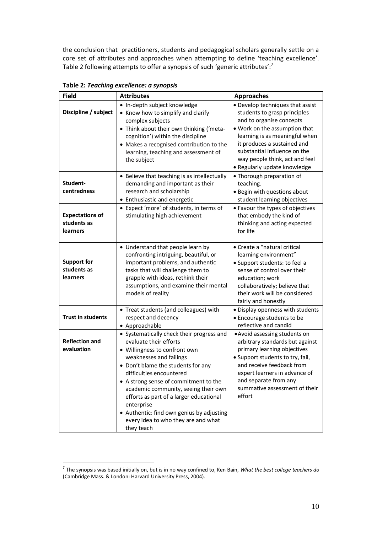the conclusion that practitioners, students and pedagogical scholars generally settle on a core set of attributes and approaches when attempting to define 'teaching excellence'. Table 2 following attempts to offer a synopsis of such 'generic attributes':<sup>7</sup>

| <b>Field</b>                                             | <b>Attributes</b>                                                                                                                                                                                                                                                                                                                                                                                                                             | <b>Approaches</b>                                                                                                                                                                                                                                                                                |
|----------------------------------------------------------|-----------------------------------------------------------------------------------------------------------------------------------------------------------------------------------------------------------------------------------------------------------------------------------------------------------------------------------------------------------------------------------------------------------------------------------------------|--------------------------------------------------------------------------------------------------------------------------------------------------------------------------------------------------------------------------------------------------------------------------------------------------|
| Discipline / subject                                     | · In-depth subject knowledge<br>• Know how to simplify and clarify<br>complex subjects<br>• Think about their own thinking ('meta-<br>cognition') within the discipline<br>• Makes a recognised contribution to the<br>learning, teaching and assessment of<br>the subject                                                                                                                                                                    | • Develop techniques that assist<br>students to grasp principles<br>and to organise concepts<br>. Work on the assumption that<br>learning is as meaningful when<br>it produces a sustained and<br>substantial influence on the<br>way people think, act and feel<br>• Regularly update knowledge |
| Student-<br>centredness                                  | • Believe that teaching is as intellectually<br>demanding and important as their<br>research and scholarship<br>• Enthusiastic and energetic<br>• Expect 'more' of students, in terms of                                                                                                                                                                                                                                                      | • Thorough preparation of<br>teaching.<br>• Begin with questions about<br>student learning objectives<br>• Favour the types of objectives                                                                                                                                                        |
| <b>Expectations of</b><br>students as<br><b>learners</b> | stimulating high achievement                                                                                                                                                                                                                                                                                                                                                                                                                  | that embody the kind of<br>thinking and acting expected<br>for life                                                                                                                                                                                                                              |
| Support for<br>students as<br><b>learners</b>            | • Understand that people learn by<br>confronting intriguing, beautiful, or<br>important problems, and authentic<br>tasks that will challenge them to<br>grapple with ideas, rethink their<br>assumptions, and examine their mental<br>models of reality                                                                                                                                                                                       | • Create a "natural critical<br>learning environment"<br>· Support students: to feel a<br>sense of control over their<br>education; work<br>collaboratively; believe that<br>their work will be considered<br>fairly and honestly                                                                |
| <b>Trust in students</b>                                 | • Treat students (and colleagues) with<br>respect and decency<br>• Approachable                                                                                                                                                                                                                                                                                                                                                               | • Display openness with students<br>• Encourage students to be<br>reflective and candid                                                                                                                                                                                                          |
| <b>Reflection and</b><br>evaluation                      | • Systematically check their progress and<br>evaluate their efforts<br>· Willingness to confront own<br>weaknesses and failings<br>• Don't blame the students for any<br>difficulties encountered<br>• A strong sense of commitment to the<br>academic community, seeing their own<br>efforts as part of a larger educational<br>enterprise<br>• Authentic: find own genius by adjusting<br>every idea to who they are and what<br>they teach | . Avoid assessing students on<br>arbitrary standards but against<br>primary learning objectives<br>• Support students to try, fail,<br>and receive feedback from<br>expert learners in advance of<br>and separate from any<br>summative assessment of their<br>effort                            |

**Table 2:** *Teaching excellence: a synopsis*

 7 The synopsis was based initially on, but is in no way confined to, Ken Bain, *What the best college teachers do* (Cambridge Mass. & London: Harvard University Press, 2004).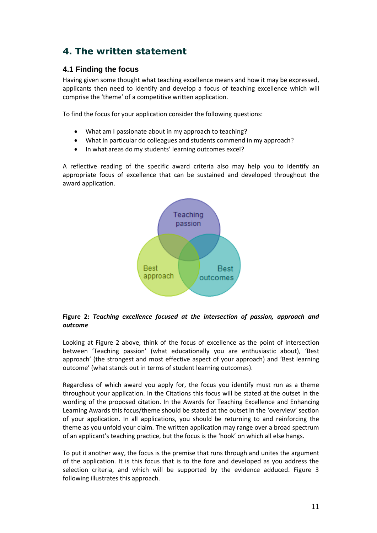## **4. The written statement**

### **4.1 Finding the focus**

Having given some thought what teaching excellence means and how it may be expressed, applicants then need to identify and develop a focus of teaching excellence which will comprise the 'theme' of a competitive written application.

To find the focus for your application consider the following questions:

- What am I passionate about in my approach to teaching?
- What in particular do colleagues and students commend in my approach?
- In what areas do my students' learning outcomes excel?

A reflective reading of the specific award criteria also may help you to identify an appropriate focus of excellence that can be sustained and developed throughout the award application.



#### **Figure 2:** *Teaching excellence focused at the intersection of passion, approach and outcome*

Looking at Figure 2 above, think of the focus of excellence as the point of intersection between 'Teaching passion' (what educationally you are enthusiastic about), 'Best approach' (the strongest and most effective aspect of your approach) and 'Best learning outcome' (what stands out in terms of student learning outcomes).

Regardless of which award you apply for, the focus you identify must run as a theme throughout your application. In the Citations this focus will be stated at the outset in the wording of the proposed citation. In the Awards for Teaching Excellence and Enhancing Learning Awards this focus/theme should be stated at the outset in the 'overview' section of your application. In all applications, you should be returning to and reinforcing the theme as you unfold your claim. The written application may range over a broad spectrum of an applicant's teaching practice, but the focus is the 'hook' on which all else hangs.

To put it another way, the focus is the premise that runs through and unites the argument of the application. It is this focus that is to the fore and developed as you address the selection criteria, and which will be supported by the evidence adduced. Figure 3 following illustrates this approach.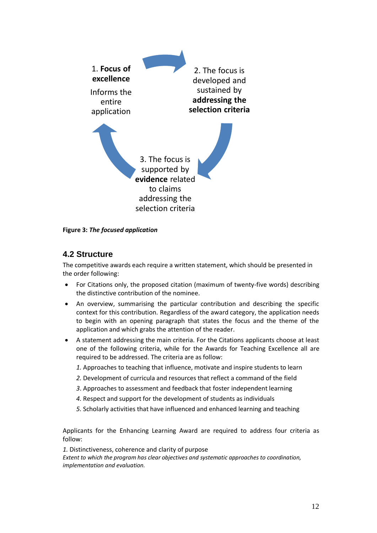

**Figure 3:** *The focused application*

### **4.2 Structure**

The competitive awards each require a written statement, which should be presented in the order following:

- For Citations only, the proposed citation (maximum of twenty-five words) describing the distinctive contribution of the nominee.
- An overview, summarising the particular contribution and describing the specific context for this contribution. Regardless of the award category, the application needs to begin with an opening paragraph that states the focus and the theme of the application and which grabs the attention of the reader.
- A statement addressing the main criteria. For the Citations applicants choose at least one of the following criteria, while for the Awards for Teaching Excellence all are required to be addressed. The criteria are as follow:
	- *1.* Approaches to teaching that influence, motivate and inspire students to learn
	- *2.* Development of curricula and resources that reflect a command of the field
	- *3*. Approaches to assessment and feedback that foster independent learning
	- *4.* Respect and support for the development of students as individuals
	- *5.* Scholarly activities that have influenced and enhanced learning and teaching

Applicants for the Enhancing Learning Award are required to address four criteria as follow:

*1.* Distinctiveness, coherence and clarity of purpose

*Extent to which the program has clear objectives and systematic approaches to coordination, implementation and evaluation.*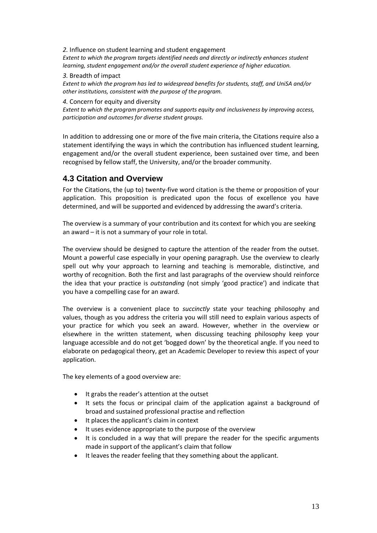*2.* Influence on student learning and student engagement *Extent to which the program targets identified needs and directly or indirectly enhances student learning, student engagement and/or the overall student experience of higher education.* 

#### *3.* Breadth of impact

*Extent to which the program has led to widespread benefits for students, staff, and UniSA and/or other institutions, consistent with the purpose of the program.*

#### *4.* Concern for equity and diversity

*Extent to which the program promotes and supports equity and inclusiveness by improving access, participation and outcomes for diverse student groups.*

In addition to addressing one or more of the five main criteria, the Citations require also a statement identifying the ways in which the contribution has influenced student learning, engagement and/or the overall student experience, been sustained over time, and been recognised by fellow staff, the University, and/or the broader community.

### **4.3 Citation and Overview**

For the Citations, the (up to) twenty-five word citation is the theme or proposition of your application. This proposition is predicated upon the focus of excellence you have determined, and will be supported and evidenced by addressing the award's criteria.

The overview is a summary of your contribution and its context for which you are seeking an award – it is not a summary of your role in total.

The overview should be designed to capture the attention of the reader from the outset. Mount a powerful case especially in your opening paragraph. Use the overview to clearly spell out why your approach to learning and teaching is memorable, distinctive, and worthy of recognition. Both the first and last paragraphs of the overview should reinforce the idea that your practice is *outstanding* (not simply 'good practice') and indicate that you have a compelling case for an award.

The overview is a convenient place to *succinctly* state your teaching philosophy and values, though as you address the criteria you will still need to explain various aspects of your practice for which you seek an award. However, whether in the overview or elsewhere in the written statement, when discussing teaching philosophy keep your language accessible and do not get 'bogged down' by the theoretical angle. If you need to elaborate on pedagogical theory, get an Academic Developer to review this aspect of your application.

The key elements of a good overview are:

- It grabs the reader's attention at the outset
- It sets the focus or principal claim of the application against a background of broad and sustained professional practise and reflection
- It places the applicant's claim in context
- It uses evidence appropriate to the purpose of the overview
- It is concluded in a way that will prepare the reader for the specific arguments made in support of the applicant's claim that follow
- It leaves the reader feeling that they something about the applicant.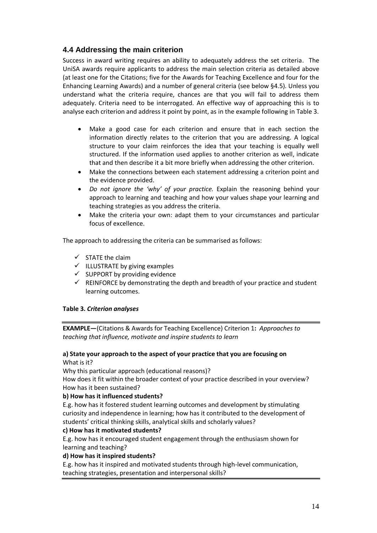### **4.4 Addressing the main criterion**

Success in award writing requires an ability to adequately address the set criteria. The UniSA awards require applicants to address the main selection criteria as detailed above (at least one for the Citations; five for the Awards for Teaching Excellence and four for the Enhancing Learning Awards) and a number of general criteria (see below §4.5). Unless you understand what the criteria require, chances are that you will fail to address them adequately. Criteria need to be interrogated. An effective way of approaching this is to analyse each criterion and address it point by point, as in the example following in Table 3.

- Make a good case for each criterion and ensure that in each section the information directly relates to the criterion that you are addressing. A logical structure to your claim reinforces the idea that your teaching is equally well structured. If the information used applies to another criterion as well, indicate that and then describe it a bit more briefly when addressing the other criterion.
- Make the connections between each statement addressing a criterion point and the evidence provided.
- *Do not ignore the 'why' of your practice.* Explain the reasoning behind your approach to learning and teaching and how your values shape your learning and teaching strategies as you address the criteria.
- Make the criteria your own: adapt them to your circumstances and particular focus of excellence.

The approach to addressing the criteria can be summarised as follows:

- $\checkmark$  STATE the claim
- $\checkmark$  ILLUSTRATE by giving examples
- $\checkmark$  SUPPORT by providing evidence
- $\checkmark$  REINFORCE by demonstrating the depth and breadth of your practice and student learning outcomes.

#### **Table 3.** *Criterion analyses*

**EXAMPLE—**(Citations & Awards for Teaching Excellence) Criterion 1**:** *Approaches to teaching that influence, motivate and inspire students to learn*

#### **a) State your approach to the aspect of your practice that you are focusing on** What is it?

Why this particular approach (educational reasons)?

How does it fit within the broader context of your practice described in your overview? How has it been sustained?

#### **b) How has it influenced students?**

E.g. how has it fostered student learning outcomes and development by stimulating curiosity and independence in learning; how has it contributed to the development of students' critical thinking skills, analytical skills and scholarly values?

#### **c) How has it motivated students?**

E.g. how has it encouraged student engagement through the enthusiasm shown for learning and teaching?

#### **d) How has it inspired students?**

E.g. how has it inspired and motivated students through high-level communication, teaching strategies, presentation and interpersonal skills?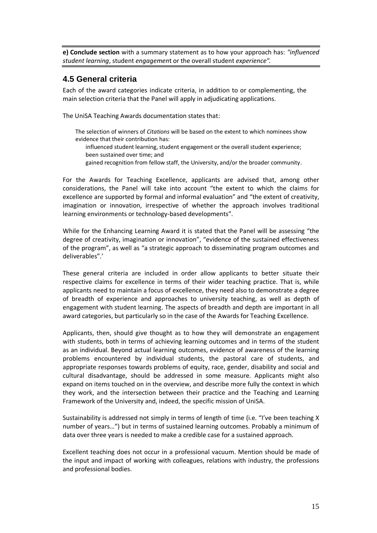**e) Conclude section** with a summary statement as to how your approach has: *"influenced student learning*, student *engagemen*t or the overall student *experience".*

### **4.5 General criteria**

Each of the award categories indicate criteria, in addition to or complementing, the main selection criteria that the Panel will apply in adjudicating applications.

The UniSA Teaching Awards documentation states that:

- The selection of winners of *Citations* will be based on the extent to which nominees show evidence that their contribution has: influenced student learning, student engagement or the overall student experience; been sustained over time; and
	- gained recognition from fellow staff, the University, and/or the broader community.

For the Awards for Teaching Excellence, applicants are advised that, among other considerations, the Panel will take into account "the extent to which the claims for excellence are supported by formal and informal evaluation" and "the extent of creativity, imagination or innovation, irrespective of whether the approach involves traditional learning environments or technology-based developments".

While for the Enhancing Learning Award it is stated that the Panel will be assessing "the degree of creativity, imagination or innovation", "evidence of the sustained effectiveness of the program", as well as "a strategic approach to disseminating program outcomes and deliverables".'

These general criteria are included in order allow applicants to better situate their respective claims for excellence in terms of their wider teaching practice. That is, while applicants need to maintain a focus of excellence, they need also to demonstrate a degree of breadth of experience and approaches to university teaching, as well as depth of engagement with student learning. The aspects of breadth and depth are important in all award categories, but particularly so in the case of the Awards for Teaching Excellence.

Applicants, then, should give thought as to how they will demonstrate an engagement with students, both in terms of achieving learning outcomes and in terms of the student as an individual. Beyond actual learning outcomes, evidence of awareness of the learning problems encountered by individual students, the pastoral care of students, and appropriate responses towards problems of equity, race, gender, disability and social and cultural disadvantage, should be addressed in some measure. Applicants might also expand on items touched on in the overview, and describe more fully the context in which they work, and the intersection between their practice and the Teaching and Learning Framework of the University and, indeed, the specific mission of UniSA.

Sustainability is addressed not simply in terms of length of time (i.e. "I've been teaching X number of years…") but in terms of sustained learning outcomes. Probably a minimum of data over three years is needed to make a credible case for a sustained approach.

Excellent teaching does not occur in a professional vacuum. Mention should be made of the input and impact of working with colleagues, relations with industry, the professions and professional bodies.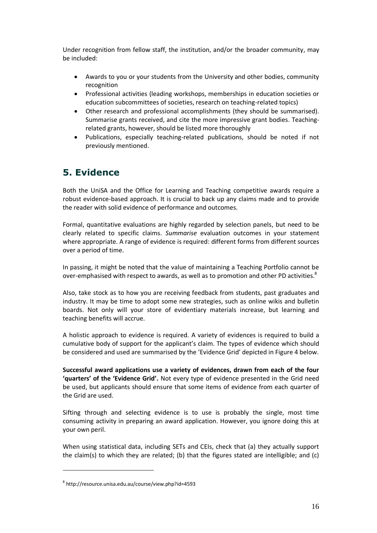Under recognition from fellow staff, the institution, and/or the broader community, may be included:

- Awards to you or your students from the University and other bodies, community recognition
- Professional activities (leading workshops, memberships in education societies or education subcommittees of societies, research on teaching-related topics)
- Other research and professional accomplishments (they should be summarised). Summarise grants received, and cite the more impressive grant bodies. Teachingrelated grants, however, should be listed more thoroughly
- Publications, especially teaching-related publications, should be noted if not previously mentioned.

## **5. Evidence**

Both the UniSA and the Office for Learning and Teaching competitive awards require a robust evidence-based approach. It is crucial to back up any claims made and to provide the reader with solid evidence of performance and outcomes.

Formal, quantitative evaluations are highly regarded by selection panels, but need to be clearly related to specific claims. *Summarise* evaluation outcomes in your statement where appropriate. A range of evidence is required: different forms from different sources over a period of time.

In passing, it might be noted that the value of maintaining a Teaching Portfolio cannot be over-emphasised with respect to awards, as well as to promotion and other PD activities.<sup>8</sup>

Also, take stock as to how you are receiving feedback from students, past graduates and industry. It may be time to adopt some new strategies, such as online wikis and bulletin boards. Not only will your store of evidentiary materials increase, but learning and teaching benefits will accrue.

A holistic approach to evidence is required. A variety of evidences is required to build a cumulative body of support for the applicant's claim. The types of evidence which should be considered and used are summarised by the 'Evidence Grid' depicted in Figure 4 below.

**Successful award applications use a variety of evidences, drawn from each of the four 'quarters' of the 'Evidence Grid'.** Not every type of evidence presented in the Grid need be used, but applicants should ensure that some items of evidence from each quarter of the Grid are used.

Sifting through and selecting evidence is to use is probably the single, most time consuming activity in preparing an award application. However, you ignore doing this at your own peril.

When using statistical data, including SETs and CEIs, check that (a) they actually support the claim(s) to which they are related; (b) that the figures stated are intelligible; and (c)

 $\overline{a}$ 

<sup>8</sup> http://resource.unisa.edu.au/course/view.php?id=4593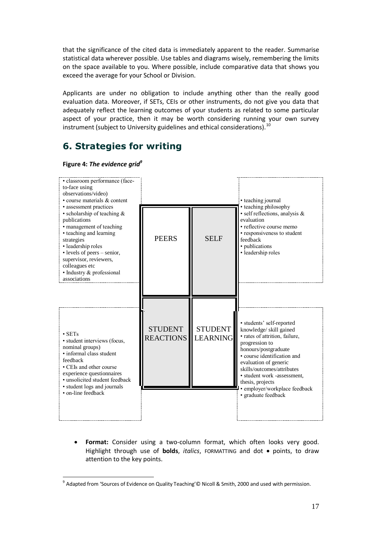that the significance of the cited data is immediately apparent to the reader. Summarise statistical data wherever possible. Use tables and diagrams wisely, remembering the limits on the space available to you. Where possible, include comparative data that shows you exceed the average for your School or Division.

Applicants are under no obligation to include anything other than the really good evaluation data. Moreover, if SETs, CEIs or other instruments, do not give you data that adequately reflect the learning outcomes of your students as related to some particular aspect of your practice, then it may be worth considering running your own survey instrument (subject to University guidelines and ethical considerations).<sup>10</sup>

## **6. Strategies for writing**

 $\overline{a}$ 



 **Format:** Consider using a two-column format, which often looks very good. Highlight through use of **bolds**, *italics*, FORMATTING and dot points, to draw attention to the key points.

 $^9$  Adapted from 'Sources of Evidence on Quality Teaching'© Nicoll & Smith, 2000 and used with permission.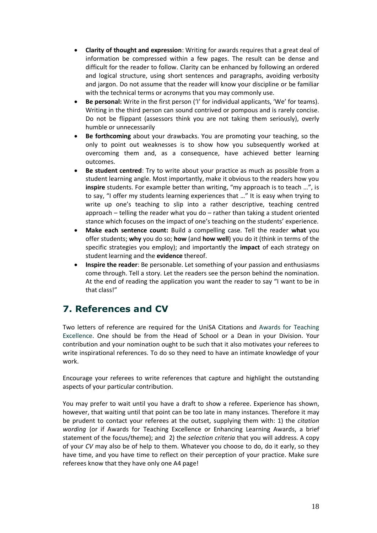- **Clarity of thought and expression**: Writing for awards requires that a great deal of information be compressed within a few pages. The result can be dense and difficult for the reader to follow. Clarity can be enhanced by following an ordered and logical structure, using short sentences and paragraphs, avoiding verbosity and jargon. Do not assume that the reader will know your discipline or be familiar with the technical terms or acronyms that you may commonly use.
- **Be personal:** Write in the first person ('I' for individual applicants, 'We' for teams). Writing in the third person can sound contrived or pompous and is rarely concise. Do not be flippant (assessors think you are not taking them seriously), overly humble or unnecessarily
- **Be forthcoming** about your drawbacks. You are promoting your teaching, so the only to point out weaknesses is to show how you subsequently worked at overcoming them and, as a consequence, have achieved better learning outcomes.
- **Be student centred**: Try to write about your practice as much as possible from a student learning angle. Most importantly, make it obvious to the readers how you **inspire** students. For example better than writing, "my approach is to teach …", is to say, "I offer my students learning experiences that …" It is easy when trying to write up one's teaching to slip into a rather descriptive, teaching centred approach – telling the reader what you do – rather than taking a student oriented stance which focuses on the impact of one's teaching on the students' experience.
- **Make each sentence count:** Build a compelling case. Tell the reader **what** you offer students; **why** you do so; **how** (and **how well**) you do it (think in terms of the specific strategies you employ); and importantly the **impact** of each strategy on student learning and the **evidence** thereof.
- **Inspire the reader**: Be personable. Let something of your passion and enthusiasms come through. Tell a story. Let the readers see the person behind the nomination. At the end of reading the application you want the reader to say "I want to be in that class!"

## **7. References and CV**

Two letters of reference are required for the UniSA Citations and Awards for Teaching Excellence. One should be from the Head of School or a Dean in your Division. Your contribution and your nomination ought to be such that it also motivates your referees to write inspirational references. To do so they need to have an intimate knowledge of your work.

Encourage your referees to write references that capture and highlight the outstanding aspects of your particular contribution.

You may prefer to wait until you have a draft to show a referee. Experience has shown, however, that waiting until that point can be too late in many instances. Therefore it may be prudent to contact your referees at the outset, supplying them with: 1) the *citation wording* (or if Awards for Teaching Excellence or Enhancing Learning Awards, a brief statement of the focus/theme); and 2) the *selection criteria* that you will address. A copy of your *CV* may also be of help to them. Whatever you choose to do, do it early, so they have time, and you have time to reflect on their perception of your practice. Make sure referees know that they have only one A4 page!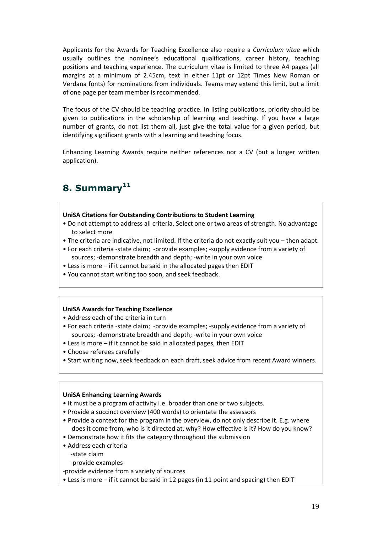Applicants for the Awards for Teaching Excellenc**e** also require a *Curriculum vitae* which usually outlines the nominee's educational qualifications, career history, teaching positions and teaching experience. The curriculum vitae is limited to three A4 pages (all margins at a minimum of 2.45cm, text in either 11pt or 12pt Times New Roman or Verdana fonts) for nominations from individuals. Teams may extend this limit, but a limit of one page per team member is recommended.

The focus of the CV should be teaching practice. In listing publications, priority should be given to publications in the scholarship of learning and teaching. If you have a large number of grants, do not list them all, just give the total value for a given period, but identifying significant grants with a learning and teaching focus.

Enhancing Learning Awards require neither references nor a CV (but a longer written application).

# **8. Summary<sup>11</sup>**

#### **UniSA Citations for Outstanding Contributions to Student Learning**

- Do not attempt to address all criteria. Select one or two areas of strength. No advantage to select more
- The criteria are indicative, not limited. If the criteria do not exactly suit you then adapt.
- For each criteria -state claim; -provide examples; -supply evidence from a variety of sources; -demonstrate breadth and depth; -write in your own voice
- Less is more if it cannot be said in the allocated pages then EDIT
- You cannot start writing too soon, and seek feedback.

#### **UniSA Awards for Teaching Excellence**

- Address each of the criteria in turn
- For each criteria -state claim; -provide examples; -supply evidence from a variety of sources; -demonstrate breadth and depth; -write in your own voice
- Less is more if it cannot be said in allocated pages, then EDIT
- Choose referees carefully
- Start writing now, seek feedback on each draft, seek advice from recent Award winners.

#### **UniSA Enhancing Learning Awards**

- It must be a program of activity i.e. broader than one or two subjects.
- Provide a succinct overview (400 words) to orientate the assessors
- Provide a context for the program in the overview, do not only describe it. E.g. where does it come from, who is it directed at, why? How effective is it? How do you know?
- Demonstrate how it fits the category throughout the submission
- Address each criteria
	- -state claim

-provide examples

-provide evidence from a variety of sources

• Less is more – if it cannot be said in 12 pages (in 11 point and spacing) then EDIT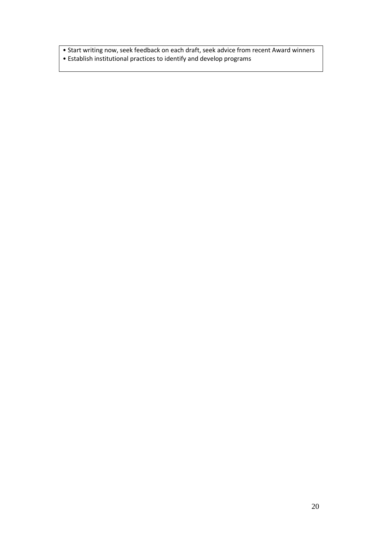• Start writing now, seek feedback on each draft, seek advice from recent Award winners • Establish institutional practices to identify and develop programs